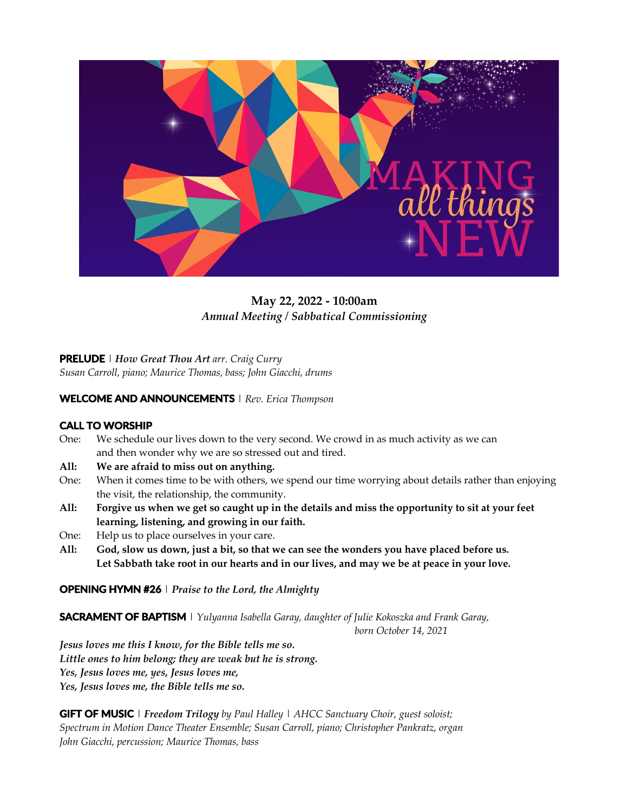

**May 22, 2022 - 10:00am** *Annual Meeting / Sabbatical Commissioning*

# **PRELUDE** | *How Great Thou Art arr. Craig Curry*

*Susan Carroll, piano; Maurice Thomas, bass; John Giacchi, drums*

### **WELCOME AND ANNOUNCEMENTS** | *Rev. Erica Thompson*

#### **CALL TO WORSHIP**

- One: We schedule our lives down to the very second. We crowd in as much activity as we can and then wonder why we are so stressed out and tired.
- **All: We are afraid to miss out on anything.**
- One: When it comes time to be with others, we spend our time worrying about details rather than enjoying the visit, the relationship, the community.
- **All: Forgive us when we get so caught up in the details and miss the opportunity to sit at your feet learning, listening, and growing in our faith.**
- One: Help us to place ourselves in your care.
- **All: God, slow us down, just a bit, so that we can see the wonders you have placed before us. Let Sabbath take root in our hearts and in our lives, and may we be at peace in your love.**

**OPENING HYMN #26** | *Praise to the Lord, the Almighty*

**SACRAMENT OF BAPTISM** | *Yulyanna Isabella Garay, daughter of Julie Kokoszka and Frank Garay, born October 14, 2021*

*Jesus loves me this I know, for the Bible tells me so. Little ones to him belong; they are weak but he is strong. Yes, Jesus loves me, yes, Jesus loves me, Yes, Jesus loves me, the Bible tells me so.*

**GIFT OF MUSIC** | *Freedom Trilogy by Paul Halley* | *AHCC Sanctuary Choir, guest soloist; Spectrum in Motion Dance Theater Ensemble; Susan Carroll, piano; Christopher Pankratz, organ John Giacchi, percussion; Maurice Thomas, bass*